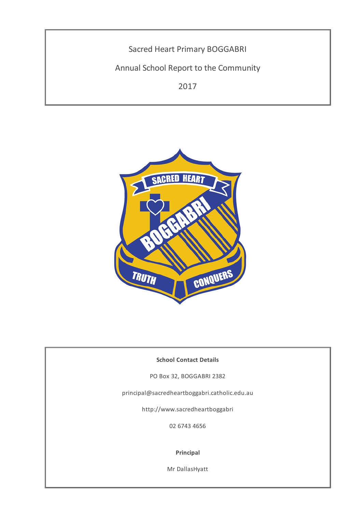Sacred Heart Primary BOGGABRI Annual School Report to the Community 2017



# **School Contact Details**

PO Box 32, BOGGABRI 2382

principal@sacredheartboggabri.catholic.edu.au

http://www.sacredheartboggabri

02 6743 4656

#### **Principal**

Mr DallasHyatt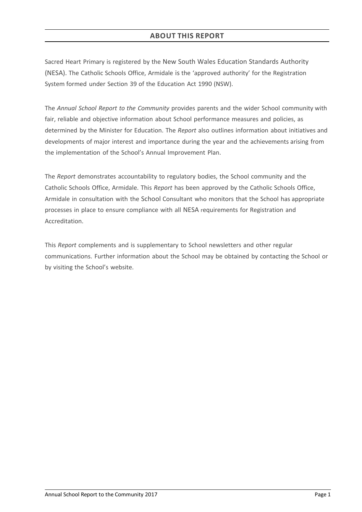# **ABOUT THIS REPORT**

Sacred Heart Primary is registered by the New South Wales Education Standards Authority (NESA). The Catholic Schools Office, Armidale is the 'approved authority' for the Registration System formed under Section 39 of the Education Act 1990 (NSW).

The *Annual School Report to the Community* provides parents and the wider School community with fair, reliable and objective information about School performance measures and policies, as determined by the Minister for Education. The *Report* also outlines information about initiatives and developments of major interest and importance during the year and the achievements arising from the implementation of the School's Annual Improvement Plan.

The *Report* demonstrates accountability to regulatory bodies, the School community and the Catholic Schools Office, Armidale. This *Report* has been approved by the Catholic Schools Office, Armidale in consultation with the School Consultant who monitors that the School has appropriate processes in place to ensure compliance with all NESA requirements for Registration and Accreditation.

This *Report* complements and is supplementary to School newsletters and other regular communications. Further information about the School may be obtained by contacting the School or by visiting the School's website.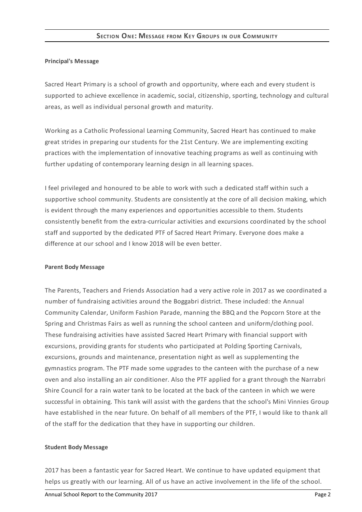#### **Principal's Message**

Sacred Heart Primary is a school of growth and opportunity, where each and every student is supported to achieve excellence in academic, social, citizenship, sporting, technology and cultural areas, as well as individual personal growth and maturity.

Working as a Catholic Professional Learning Community, Sacred Heart has continued to make great strides in preparing our students for the 21st Century. We are implementing exciting practices with the implementation of innovative teaching programs as well as continuing with further updating of contemporary learning design in all learning spaces.

I feel privileged and honoured to be able to work with such a dedicated staff within such a supportive school community. Students are consistently at the core of all decision making, which is evident through the many experiences and opportunities accessible to them. Students consistently benefit from the extra-curricular activities and excursions coordinated by the school staff and supported by the dedicated PTF of Sacred Heart Primary. Everyone does make a difference at our school and I know 2018 will be even better.

#### **Parent Body Message**

The Parents, Teachers and Friends Association had a very active role in 2017 as we coordinated a number of fundraising activities around the Boggabri district. These included: the Annual Community Calendar, Uniform Fashion Parade, manning the BBQ and the Popcorn Store at the Spring and Christmas Fairs as well as running the school canteen and uniform/clothing pool. These fundraising activities have assisted Sacred Heart Primary with financial support with excursions, providing grants for students who participated at Polding Sporting Carnivals, excursions, grounds and maintenance, presentation night as well as supplementing the gymnastics program. The PTF made some upgrades to the canteen with the purchase of a new oven and also installing an air conditioner. Also the PTF applied for a grant through the Narrabri Shire Council for a rain water tank to be located at the back of the canteen in which we were successful in obtaining. This tank will assist with the gardens that the school's Mini Vinnies Group have established in the near future. On behalf of all members of the PTF, I would like to thank all of the staff for the dedication that they have in supporting our children.

#### **Student Body Message**

2017 has been a fantastic year for Sacred Heart. We continue to have updated equipment that helps us greatly with our learning. All of us have an active involvement in the life of the school.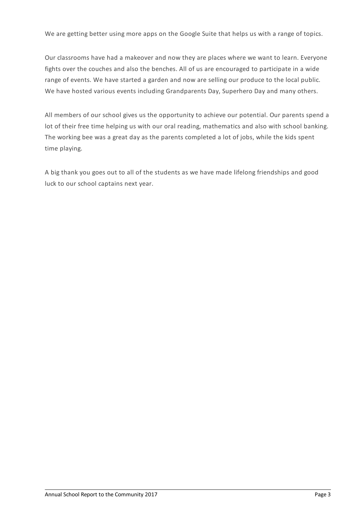We are getting better using more apps on the Google Suite that helps us with a range of topics.

Our classrooms have had a makeover and now they are places where we want to learn. Everyone fights over the couches and also the benches. All of us are encouraged to participate in a wide range of events. We have started a garden and now are selling our produce to the local public. We have hosted various events including Grandparents Day, Superhero Day and many others.

All members of our school gives us the opportunity to achieve our potential. Our parents spend a lot of their free time helping us with our oral reading, mathematics and also with school banking. The working bee was a great day as the parents completed a lot of jobs, while the kids spent time playing.

A big thank you goes out to all of the students as we have made lifelong friendships and good luck to our school captains next year.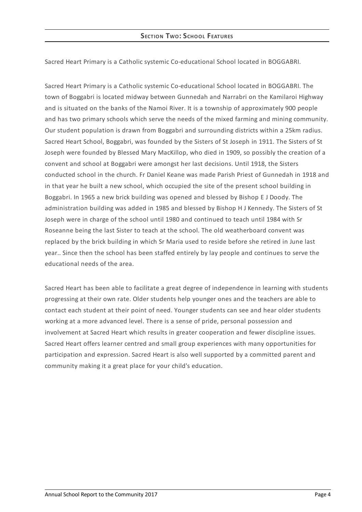Sacred Heart Primary is a Catholic systemic Co-educational School located in BOGGABRI.

Sacred Heart Primary is a Catholic systemic Co-educational School located in BOGGABRI. The town of Boggabri is located midway between Gunnedah and Narrabri on the Kamilaroi Highway and is situated on the banks of the Namoi River. It is a township of approximately 900 people and has two primary schools which serve the needs of the mixed farming and mining community. Our student population is drawn from Boggabri and surrounding districts within a 25km radius. Sacred Heart School, Boggabri, was founded by the Sisters of St Joseph in 1911. The Sisters of St Joseph were founded by Blessed Mary MacKillop, who died in 1909, so possibly the creation of a convent and school at Boggabri were amongst her last decisions. Until 1918, the Sisters conducted school in the church. Fr Daniel Keane was made Parish Priest of Gunnedah in 1918 and in that year he built a new school, which occupied the site of the present school building in Boggabri. In 1965 a new brick building was opened and blessed by Bishop E J Doody. The administration building was added in 1985 and blessed by Bishop H J Kennedy. The Sisters of St Joseph were in charge of the school until 1980 and continued to teach until 1984 with Sr Roseanne being the last Sister to teach at the school. The old weatherboard convent was replaced by the brick building in which Sr Maria used to reside before she retired in June last year.. Since then the school has been staffed entirely by lay people and continues to serve the educational needs of the area.

Sacred Heart has been able to facilitate a great degree of independence in learning with students progressing at their own rate. Older students help younger ones and the teachers are able to contact each student at their point of need. Younger students can see and hear older students working at a more advanced level. There is a sense of pride, personal possession and involvement at Sacred Heart which results in greater cooperation and fewer discipline issues. Sacred Heart offers learner centred and small group experiences with many opportunities for participation and expression. Sacred Heart is also well supported by a committed parent and community making it a great place for your child's education.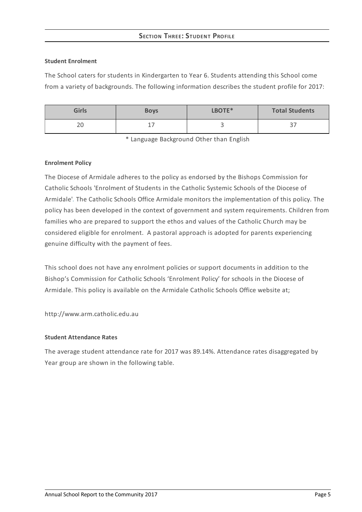# **SECTION THREE: STUDEN T PROFILE**

#### **Student Enrolment**

The School caters for students in Kindergarten to Year 6. Students attending this School come from a variety of backgrounds. The following information describes the student profile for 2017:

| <b>Girls</b> | <b>Boys</b> | LBOTE* | <b>Total Students</b> |
|--------------|-------------|--------|-----------------------|
| $\cap$<br>∠∪ | -           | ٮ      | ، ب                   |

\* Language Background Other than English

## **Enrolment Policy**

The Diocese of Armidale adheres to the policy as endorsed by the Bishops Commission for Catholic Schools 'Enrolment of Students in the Catholic Systemic Schools of the Diocese of Armidale'*[.](http://www.ceosyd.catholic.edu.au/About/Pages/pol-pos-papers.aspx)* The Catholic Schools Office Armidale monitors the implementation of this policy. The policy has been developed in the context of government and system requirements. Children from families who are prepared to support the ethos and values of the Catholic Church may be considered eligible for enrolment. A pastoral approach is adopted for parents experiencing genuine difficulty with the payment of fees.

This school does not have any enrolment policies or support documents in addition to the Bishop's Commission for Catholic Schools 'Enrolment Policy' for schools in the Diocese of Armidale. This policy is available on the Armidale Catholic Schools Office website at;

http://www.arm.catholic.edu.au

## **Student Attendance Rates**

The average student attendance rate for 2017 was 89.14%. Attendance rates disaggregated by Year group are shown in the following table.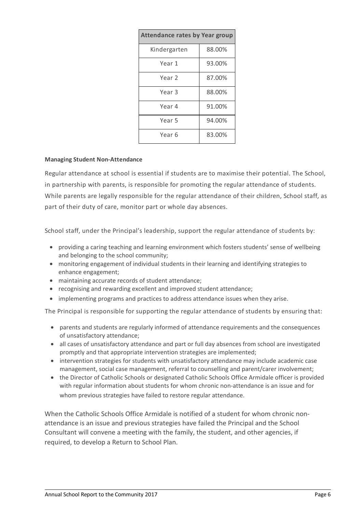| <b>Attendance rates by Year group</b> |        |  |
|---------------------------------------|--------|--|
| Kindergarten                          | 88.00% |  |
| Year 1                                | 93.00% |  |
| Year 2                                | 87.00% |  |
| Year 3                                | 88.00% |  |
| Year 4                                | 91.00% |  |
| Year 5                                | 94.00% |  |
| Year 6                                | 83.00% |  |

#### **Managing Student Non-Attendance**

Regular attendance at school is essential if students are to maximise their potential. The School, in partnership with parents, is responsible for promoting the regular attendance of students. While parents are legally responsible for the regular attendance of their children, School staff, as part of their duty of care, monitor part or whole day absences.

School staff, under the Principal's leadership, support the regular attendance of students by:

- providing a caring teaching and learning environment which fosters students' sense of wellbeing and belonging to the school community;
- monitoring engagement of individual students in their learning and identifying strategies to enhance engagement;
- maintaining accurate records of student attendance;
- recognising and rewarding excellent and improved student attendance;
- implementing programs and practices to address attendance issues when they arise.

The Principal is responsible for supporting the regular attendance of students by ensuring that:

- parents and students are regularly informed of attendance requirements and the consequences of unsatisfactory attendance;
- all cases of unsatisfactory attendance and part or full day absences from school are investigated promptly and that appropriate intervention strategies are implemented;
- intervention strategies for students with unsatisfactory attendance may include academic case management, social case management, referral to counselling and parent/carer involvement;
- the Director of Catholic Schools or designated Catholic Schools Office Armidale officer is provided with regular information about students for whom chronic non-attendance is an issue and for whom previous strategies have failed to restore regular attendance.

When the Catholic Schools Office Armidale is notified of a student for whom chronic nonattendance is an issue and previous strategies have failed the Principal and the School Consultant will convene a meeting with the family, the student, and other agencies, if required, to develop a Return to School Plan.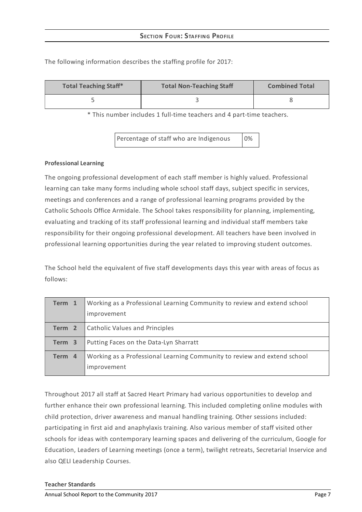| <b>Total Teaching Staff*</b> | <b>Total Non-Teaching Staff</b> | <b>Combined Total</b> |
|------------------------------|---------------------------------|-----------------------|
|                              |                                 |                       |

The following information describes the staffing profile for 2017:

\* This number includes 1 full-time teachers and 4 part-time teachers.

Percentage of staff who are Indigenous 0%

#### **Professional Learning**

The ongoing professional development of each staff member is highly valued. Professional learning can take many forms including whole school staff days, subject specific in services, meetings and conferences and a range of professional learning programs provided by the Catholic Schools Office Armidale. The School takes responsibility for planning, implementing, evaluating and tracking of its staff professional learning and individual staff members take responsibility for their ongoing professional development. All teachers have been involved in professional learning opportunities during the year related to improving student outcomes.

The School held the equivalent of five staff developments days this year with areas of focus as follows:

| Term 1 | Working as a Professional Learning Community to review and extend school                |
|--------|-----------------------------------------------------------------------------------------|
|        | improvement                                                                             |
| Term 2 | <b>Catholic Values and Principles</b>                                                   |
| Term 3 | Putting Faces on the Data-Lyn Sharratt                                                  |
| Term 4 | Working as a Professional Learning Community to review and extend school<br>improvement |

Throughout 2017 all staff at Sacred Heart Primary had various opportunities to develop and further enhance their own professional learning. This included completing online modules with child protection, driver awareness and manual handling training. Other sessions included: participating in first aid and anaphylaxis training. Also various member of staff visited other schools for ideas with contemporary learning spaces and delivering of the curriculum, Google for Education, Leaders of Learning meetings (once a term), twilight retreats, Secretarial Inservice and also QELI Leadership Courses.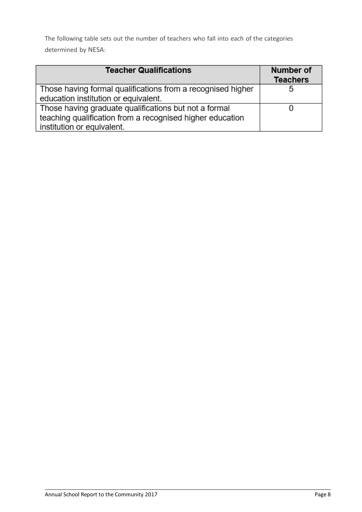The following table sets out the number of teachers who fall into each of the categories determined by NESA:

| <b>Teacher Qualifications</b>                               | Number of<br><b>Teachers</b> |
|-------------------------------------------------------------|------------------------------|
| Those having formal qualifications from a recognised higher | 5                            |
| education institution or equivalent.                        |                              |
| Those having graduate qualifications but not a formal       |                              |
| teaching qualification from a recognised higher education   |                              |
| institution or equivalent.                                  |                              |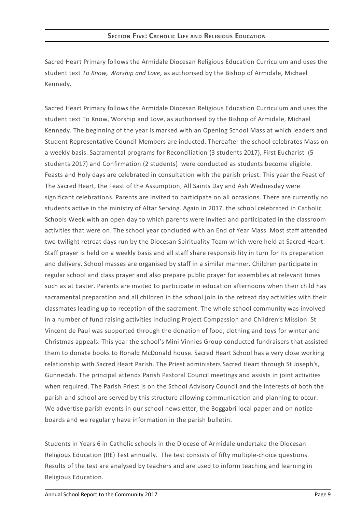Sacred Heart Primary follows the Armidale Diocesan Religious Education Curriculum and uses the student text *To Know, Worship and Love,* as authorised by the Bishop of Armidale, Michael Kennedy.

Sacred Heart Primary follows the Armidale Diocesan Religious Education Curriculum and uses the student text To Know, Worship and Love, as authorised by the Bishop of Armidale, Michael Kennedy. The beginning of the year is marked with an Opening School Mass at which leaders and Student Representative Council Members are inducted. Thereafter the school celebrates Mass on a weekly basis. Sacramental programs for Reconciliation (3 students 2017), First Eucharist (5 students 2017) and Confirmation (2 students) were conducted as students become eligible. Feasts and Holy days are celebrated in consultation with the parish priest. This year the Feast of The Sacred Heart, the Feast of the Assumption, All Saints Day and Ash Wednesday were significant celebrations. Parents are invited to participate on all occasions. There are currently no students active in the ministry of Altar Serving. Again in 2017, the school celebrated in Catholic Schools Week with an open day to which parents were invited and participated in the classroom activities that were on. The school year concluded with an End of Year Mass. Most staff attended two twilight retreat days run by the Diocesan Spirituality Team which were held at Sacred Heart. Staff prayer is held on a weekly basis and all staff share responsibility in turn for its preparation and delivery. School masses are organised by staff in a similar manner. Children participate in regular school and class prayer and also prepare public prayer for assemblies at relevant times such as at Easter. Parents are invited to participate in education afternoons when their child has sacramental preparation and all children in the school join in the retreat day activities with their classmates leading up to reception of the sacrament. The whole school community was involved in a number of fund raising activities including Project Compassion and Children's Mission. St Vincent de Paul was supported through the donation of food, clothing and toys for winter and Christmas appeals. This year the school's Mini Vinnies Group conducted fundraisers that assisted them to donate books to Ronald McDonald house. Sacred Heart School has a very close working relationship with Sacred Heart Parish. The Priest administers Sacred Heart through St Joseph's, Gunnedah. The principal attends Parish Pastoral Council meetings and assists in joint activities when required. The Parish Priest is on the School Advisory Council and the interests of both the parish and school are served by this structure allowing communication and planning to occur. We advertise parish events in our school newsletter, the Boggabri local paper and on notice boards and we regularly have information in the parish bulletin.

Students in Years 6 in Catholic schools in the Diocese of Armidale undertake the Diocesan Religious Education (RE) Test annually. The test consists of fifty multiple-choice questions. Results of the test are analysed by teachers and are used to inform teaching and learning in Religious Education.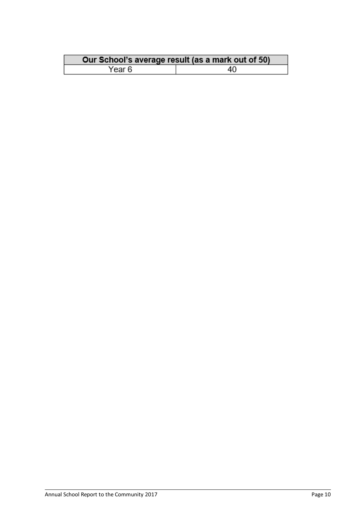|        | Our School's average result (as a mark out of 50) |
|--------|---------------------------------------------------|
| Year 6 | 40                                                |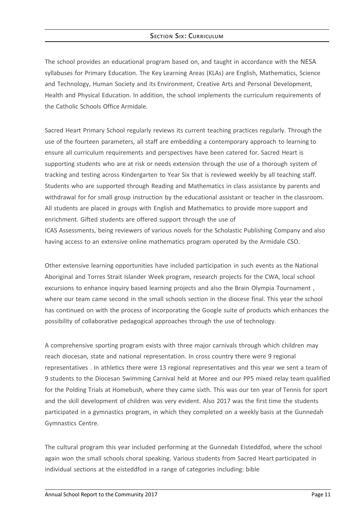## **SECTION SIX: CURRICULUM**

The school provides an educational program based on, and taught in accordance with the NESA syllabuses for Primary Education. The Key Learning Areas (KLAs) are English, Mathematics, Science and Technology, Human Society and its Environment, Creative Arts and Personal Development, Health and Physical Education. In addition, the school implements the curriculum requirements of the Catholic Schools Office Armidale.

Sacred Heart Primary School regularly reviews its current teaching practices regularly. Through the use of the fourteen parameters, all staff are embedding a contemporary approach to learning to ensure all curriculum requirements and perspectives have been catered for. Sacred Heart is supporting students who are at risk or needs extension through the use of a thorough system of tracking and testing across Kindergarten to Year Six that is reviewed weekly by all teaching staff. Students who are supported through Reading and Mathematics in class assistance by parents and withdrawal for for small group instruction by the educational assistant or teacher in the classroom. All students are placed in groups with English and Mathematics to provide more support and enrichment. Gifted students are offered support through the use of

ICAS Assessments, being reviewers of various novels for the Scholastic Publishing Company and also having access to an extensive online mathematics program operated by the Armidale CSO.

Other extensive learning opportunities have included participation in such events as the National Aboriginal and Torres Strait Islander Week program, research projects for the CWA, local school excursions to enhance inquiry based learning projects and also the Brain Olympia Tournament , where our team came second in the small schools section in the diocese final. This year the school has continued on with the process of incorporating the Google suite of products which enhances the possibility of collaborative pedagogical approaches through the use of technology.

A comprehensive sporting program exists with three major carnivals through which children may reach diocesan, state and national representation. In cross country there were 9 regional representatives . In athletics there were 13 regional representatives and this year we sent a team of 9 students to the Diocesan Swimming Carnival held at Moree and our PP5 mixed relay team qualified for the Polding Trials at Homebush, where they came sixth. This was our ten year of Tennis for sport and the skill development of children was very evident. Also 2017 was the first time the students participated in a gymnastics program, in which they completed on a weekly basis at the Gunnedah Gymnastics Centre.

The cultural program this year included performing at the Gunnedah Eisteddfod, where the school again won the small schools choral speaking. Various students from Sacred Heart participated in individual sections at the eisteddfod in a range of categories including: bible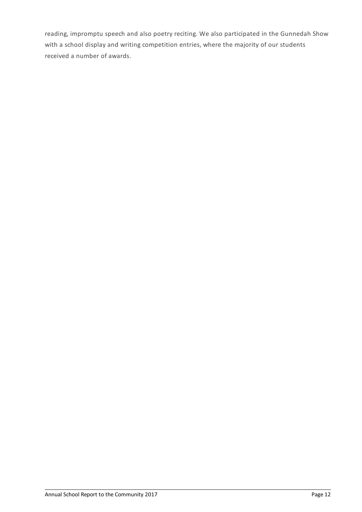reading, impromptu speech and also poetry reciting. We also participated in the Gunnedah Show with a school display and writing competition entries, where the majority of our students received a number of awards.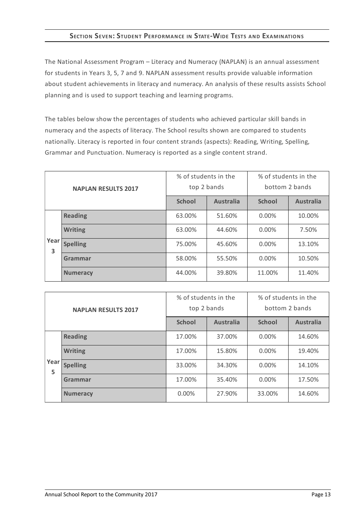# **SECTION SEVEN:STUDENT PERFORMANCE IN STATE-WIDE TESTS AND EXAMINATIONS**

The National Assessment Program – Literacy and Numeracy (NAPLAN) is an annual assessment for students in Years 3, 5, 7 and 9. NAPLAN assessment results provide valuable information about student achievements in literacy and numeracy. An analysis of these results assists School planning and is used to support teaching and learning programs.

The tables below show the percentages of students who achieved particular skill bands in numeracy and the aspects of literacy. The School results shown are compared to students nationally. Literacy is reported in four content strands (aspects): Reading, Writing, Spelling, Grammar and Punctuation. Numeracy is reported as a single content strand.

| <b>NAPLAN RESULTS 2017</b> |                 | % of students in the<br>top 2 bands |                  | % of students in the<br>bottom 2 bands |                  |
|----------------------------|-----------------|-------------------------------------|------------------|----------------------------------------|------------------|
|                            |                 | <b>School</b>                       | <b>Australia</b> | <b>School</b>                          | <b>Australia</b> |
|                            | <b>Reading</b>  | 63.00%                              | 51.60%           | $0.00\%$                               | 10.00%           |
|                            | <b>Writing</b>  | 63.00%                              | 44.60%           | $0.00\%$                               | 7.50%            |
| Year<br>3                  | <b>Spelling</b> | 75.00%                              | 45.60%           | $0.00\%$                               | 13.10%           |
|                            | <b>Grammar</b>  | 58.00%                              | 55.50%           | $0.00\%$                               | 10.50%           |
|                            | <b>Numeracy</b> | 44.00%                              | 39.80%           | 11.00%                                 | 11.40%           |

| <b>NAPLAN RESULTS 2017</b> |                 | % of students in the<br>top 2 bands |                  | % of students in the<br>bottom 2 bands |                  |
|----------------------------|-----------------|-------------------------------------|------------------|----------------------------------------|------------------|
|                            |                 | <b>School</b>                       | <b>Australia</b> | <b>School</b>                          | <b>Australia</b> |
|                            | <b>Reading</b>  | 17.00%                              | 37.00%           | $0.00\%$                               | 14.60%           |
|                            | <b>Writing</b>  | 17.00%                              | 15.80%           | $0.00\%$                               | 19.40%           |
| Year<br>5                  | <b>Spelling</b> | 33.00%                              | 34.30%           | $0.00\%$                               | 14.10%           |
|                            | Grammar         | 17.00%                              | 35.40%           | $0.00\%$                               | 17.50%           |
|                            | <b>Numeracy</b> | 0.00%                               | 27.90%           | 33.00%                                 | 14.60%           |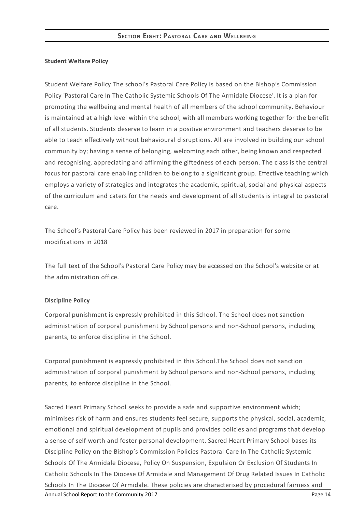#### **Student Welfare Policy**

Student Welfare Policy The school's Pastoral Care Policy is based on the Bishop's Commission Policy 'Pastoral Care In The Catholic Systemic Schools Of The Armidale Diocese'. It is a plan for promoting the wellbeing and mental health of all members of the school community. Behaviour is maintained at a high level within the school, with all members working together for the benefit of all students. Students deserve to learn in a positive environment and teachers deserve to be able to teach effectively without behavioural disruptions. All are involved in building our school community by; having a sense of belonging, welcoming each other, being known and respected and recognising, appreciating and affirming the giftedness of each person. The class is the central focus for pastoral care enabling children to belong to a significant group. Effective teaching which employs a variety of strategies and integrates the academic, spiritual, social and physical aspects of the curriculum and caters for the needs and development of all students is integral to pastoral care.

The School's Pastoral Care Policy has been reviewed in 2017 in preparation for some modifications in 2018

The full text of the School's Pastoral Care Policy may be accessed on the School's website or at the administration office.

#### **Discipline Policy**

Corporal punishment is expressly prohibited in this School. The School does not sanction administration of corporal punishment by School persons and non-School persons, including parents, to enforce discipline in the School.

Corporal punishment is expressly prohibited in this School.The School does not sanction administration of corporal punishment by School persons and non-School persons, including parents, to enforce discipline in the School.

Sacred Heart Primary School seeks to provide a safe and supportive environment which; minimises risk of harm and ensures students feel secure, supports the physical, social, academic, emotional and spiritual development of pupils and provides policies and programs that develop a sense of self-worth and foster personal development. Sacred Heart Primary School bases its Discipline Policy on the Bishop's Commission Policies Pastoral Care In The Catholic Systemic Schools Of The Armidale Diocese, Policy On Suspension, Expulsion Or Exclusion Of Students In Catholic Schools In The Diocese Of Armidale and Management Of Drug Related Issues In Catholic Schools In The Diocese Of Armidale. These policies are characterised by procedural fairness and Annual School Report to the Community 2017 **Page 14** and the Community 2017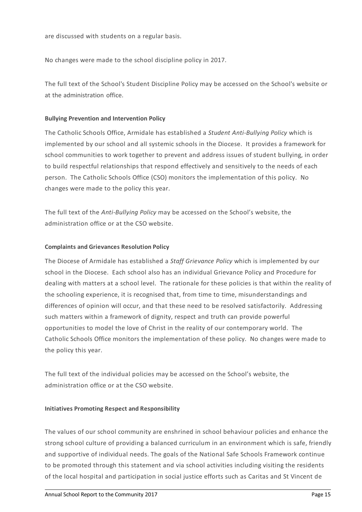No changes were made to the school discipline policy in 2017.

The full text of the School's Student Discipline Policy may be accessed on the School's website or at the administration office.

# **Bullying Prevention and Intervention Policy**

The Catholic Schools Office, Armidale has established a *Student Anti-Bullying Policy* which is implemented by our school and all systemic schools in the Diocese. It provides a framework for school communities to work together to prevent and address issues of student bullying, in order to build respectful relationships that respond effectively and sensitively to the needs of each person. The Catholic Schools Office (CSO) monitors the implementation of this policy. No changes were made to the policy this year.

The full text of the *Anti-Bullying Policy* may be accessed on the School's website, the administration office or at the CSO website.

# **Complaints and Grievances Resolution Policy**

The Diocese of Armidale has established a *Staff Grievance Policy* which is implemented by our school in the Diocese. Each school also has an individual Grievance Policy and Procedure for dealing with matters at a school level. The rationale for these policies is that within the reality of the schooling experience, it is recognised that, from time to time, misunderstandings and differences of opinion will occur, and that these need to be resolved satisfactorily. Addressing such matters within a framework of dignity, respect and truth can provide powerful opportunities to model the love of Christ in the reality of our contemporary world. The Catholic Schools Office monitors the implementation of these policy. No changes were made to the policy this year.

The full text of the individual policies may be accessed on the School's website, the administration office or at the CSO website.

## **Initiatives Promoting Respect and Responsibility**

The values of our school community are enshrined in school behaviour policies and enhance the strong school culture of providing a balanced curriculum in an environment which is safe, friendly and supportive of individual needs. The goals of the National Safe Schools Framework continue to be promoted through this statement and via school activities including visiting the residents of the local hospital and participation in social justice efforts such as Caritas and St Vincent de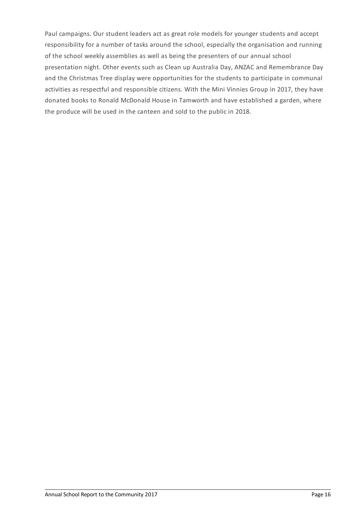Paul campaigns. Our student leaders act as great role models for younger students and accept responsibility for a number of tasks around the school, especially the organisation and running of the school weekly assemblies as well as being the presenters of our annual school presentation night. Other events such as Clean up Australia Day, ANZAC and Remembrance Day and the Christmas Tree display were opportunities for the students to participate in communal activities as respectful and responsible citizens. With the Mini Vinnies Group in 2017, they have donated books to Ronald McDonald House in Tamworth and have established a garden, where the produce will be used in the canteen and sold to the public in 2018.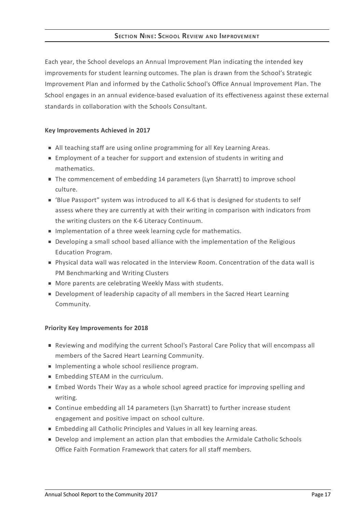Each year, the School develops an Annual Improvement Plan indicating the intended key improvements for student learning outcomes. The plan is drawn from the School's Strategic Improvement Plan and informed by the Catholic School's Office Annual Improvement Plan. The School engages in an annual evidence-based evaluation of its effectiveness against these external standards in collaboration with the Schools Consultant.

# **Key Improvements Achieved in 2017**

- All teaching staff are using online programming for all Key Learning Areas.
- Employment of a teacher for support and extension of students in writing and mathematics.
- The commencement of embedding 14 parameters (Lyn Sharratt) to improve school culture.
- 'Blue Passport" system was introduced to all K-6 that is designed for students to self assess where they are currently at with their writing in comparison with indicators from the writing clusters on the K-6 Literacy Continuum.
- **Implementation of a three week learning cycle for mathematics.**
- Developing a small school based alliance with the implementation of the Religious Education Program.
- Physical data wall was relocated in the Interview Room. Concentration of the data wall is PM Benchmarking and Writing Clusters
- **More parents are celebrating Weekly Mass with students.**
- **Development of leadership capacity of all members in the Sacred Heart Learning** Community.

## **Priority Key Improvements for 2018**

- Reviewing and modifying the current School's Pastoral Care Policy that will encompass all members of the Sacred Heart Learning Community.
- **IMPLEMENTIGE A WHOLE SCHOOL RESILIENCE PROGRAM.**
- **Embedding STEAM in the curriculum.**
- **Embed Words Their Way as a whole school agreed practice for improving spelling and** writing.
- Continue embedding all 14 parameters (Lyn Sharratt) to further increase student engagement and positive impact on school culture.
- **Embedding all Catholic Principles and Values in all key learning areas.**
- Develop and implement an action plan that embodies the Armidale Catholic Schools Office Faith Formation Framework that caters for all staff members.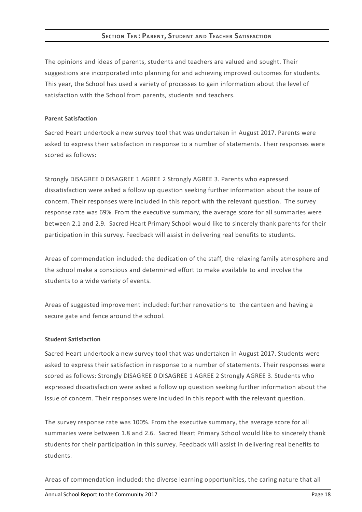# **SECTION TEN: PARENT, STUDENT AND TEACHER SATISFACTION**

The opinions and ideas of parents, students and teachers are valued and sought. Their suggestions are incorporated into planning for and achieving improved outcomes for students. This year, the School has used a variety of processes to gain information about the level of satisfaction with the School from parents, students and teachers.

#### **Parent Satisfaction**

Sacred Heart undertook a new survey tool that was undertaken in August 2017. Parents were asked to express their satisfaction in response to a number of statements. Their responses were scored as follows:

Strongly DISAGREE 0 DISAGREE 1 AGREE 2 Strongly AGREE 3. Parents who expressed dissatisfaction were asked a follow up question seeking further information about the issue of concern. Their responses were included in this report with the relevant question. The survey response rate was 69%. From the executive summary, the average score for all summaries were between 2.1 and 2.9. Sacred Heart Primary School would like to sincerely thank parents for their participation in this survey. Feedback will assist in delivering real benefits to students.

Areas of commendation included: the dedication of the staff, the relaxing family atmosphere and the school make a conscious and determined effort to make available to and involve the students to a wide variety of events.

Areas of suggested improvement included: further renovations to the canteen and having a secure gate and fence around the school.

## **Student Satisfaction**

Sacred Heart undertook a new survey tool that was undertaken in August 2017. Students were asked to express their satisfaction in response to a number of statements. Their responses were scored as follows: Strongly DISAGREE 0 DISAGREE 1 AGREE 2 Strongly AGREE 3. Students who expressed dissatisfaction were asked a follow up question seeking further information about the issue of concern. Their responses were included in this report with the relevant question.

The survey response rate was 100%. From the executive summary, the average score for all summaries were between 1.8 and 2.6. Sacred Heart Primary School would like to sincerely thank students for their participation in this survey. Feedback will assist in delivering real benefits to students.

Areas of commendation included: the diverse learning opportunities, the caring nature that all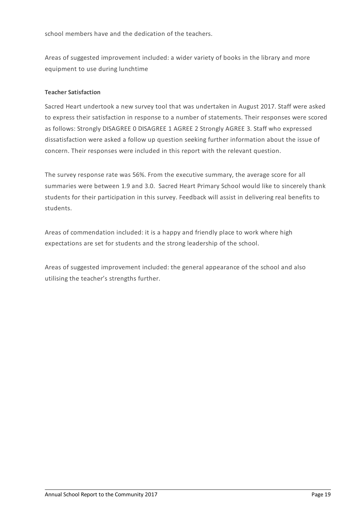school members have and the dedication of the teachers.

Areas of suggested improvement included: a wider variety of books in the library and more equipment to use during lunchtime

# **Teacher Satisfaction**

Sacred Heart undertook a new survey tool that was undertaken in August 2017. Staff were asked to express their satisfaction in response to a number of statements. Their responses were scored as follows: Strongly DISAGREE 0 DISAGREE 1 AGREE 2 Strongly AGREE 3. Staff who expressed dissatisfaction were asked a follow up question seeking further information about the issue of concern. Their responses were included in this report with the relevant question.

The survey response rate was 56%. From the executive summary, the average score for all summaries were between 1.9 and 3.0. Sacred Heart Primary School would like to sincerely thank students for their participation in this survey. Feedback will assist in delivering real benefits to students.

Areas of commendation included: it is a happy and friendly place to work where high expectations are set for students and the strong leadership of the school.

Areas of suggested improvement included: the general appearance of the school and also utilising the teacher's strengths further.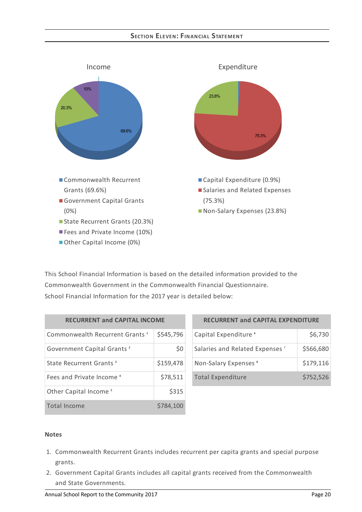# **SECTION ELEVEN: FIN AN CIAL STATEMEN T**



This School Financial Information is based on the detailed information provided to the Commonwealth Government in the Commonwealth Financial Questionnaire. School Financial Information for the 2017 year is detailed below:

| <b>RECURRENT and CAPITAL INCOME</b>        |           |  |
|--------------------------------------------|-----------|--|
| Commonwealth Recurrent Grants <sup>1</sup> | \$545,796 |  |
| Government Capital Grants <sup>2</sup>     | \$0       |  |
| State Recurrent Grants <sup>3</sup>        | \$159,478 |  |
| Fees and Private Income <sup>4</sup>       | \$78,511  |  |
| Other Capital Income <sup>5</sup>          | \$315     |  |
| <b>Total Income</b>                        | \$784,100 |  |

| <b>RECURRENT and CAPITAL EXPENDITURE</b>   |           |  |
|--------------------------------------------|-----------|--|
| Capital Expenditure <sup>6</sup>           | \$6,730   |  |
| Salaries and Related Expenses <sup>7</sup> | \$566,680 |  |
| Non-Salary Expenses <sup>8</sup>           | \$179,116 |  |
| <b>Total Expenditure</b>                   | \$752,526 |  |

#### **Notes**

- 1. Commonwealth Recurrent Grants includes recurrent per capita grants and special purpose grants.
- 2. Government Capital Grants includes all capital grants received from the Commonwealth and State Governments.